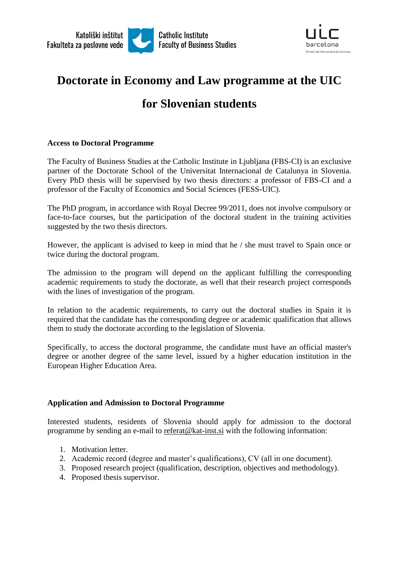



# **Doctorate in Economy and Law programme at the UIC**

# **for Slovenian students**

## **Access to Doctoral Programme**

The Faculty of Business Studies at the Catholic Institute in Ljubljana (FBS-CI) is an exclusive partner of the Doctorate School of the Universitat Internacional de Catalunya in Slovenia. Every PhD thesis will be supervised by two thesis directors: a professor of FBS-CI and a professor of the Faculty of Economics and Social Sciences (FESS-UIC).

The PhD program, in accordance with Royal Decree 99/2011, does not involve compulsory or face-to-face courses, but the participation of the doctoral student in the training activities suggested by the two thesis directors.

However, the applicant is advised to keep in mind that he / she must travel to Spain once or twice during the doctoral program.

The admission to the program will depend on the applicant fulfilling the corresponding academic requirements to study the doctorate, as well that their research project corresponds with the lines of investigation of the program.

In relation to the academic requirements, to carry out the doctoral studies in Spain it is required that the candidate has the corresponding degree or academic qualification that allows them to study the doctorate according to the legislation of Slovenia.

Specifically, to access the doctoral programme, the candidate must have an official master's degree or another degree of the same level, issued by a higher education institution in the European Higher Education Area.

# **Application and Admission to Doctoral Programme**

Interested students, residents of Slovenia should apply for admission to the doctoral programme by sending an e-mail to [referat@kat-inst.si](mailto:referat@kat-inst.si) with the following information:

- 1. Motivation letter.
- 2. Academic record (degree and master's qualifications), CV (all in one document).
- 3. Proposed research project (qualification, description, objectives and methodology).
- 4. Proposed thesis supervisor.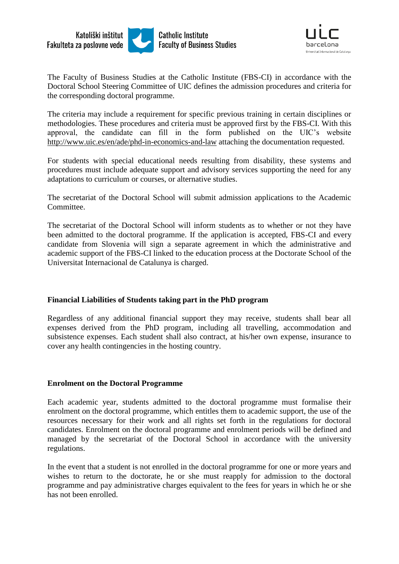



The Faculty of Business Studies at the Catholic Institute (FBS-CI) in accordance with the Doctoral School Steering Committee of UIC defines the admission procedures and criteria for the corresponding doctoral programme.

The criteria may include a requirement for specific previous training in certain disciplines or methodologies. These procedures and criteria must be approved first by the FBS-CI. With this approval, the candidate can fill in the form published on the UIC's website <http://www.uic.es/en/ade/phd-in-economics-and-law> attaching the documentation requested.

For students with special educational needs resulting from disability, these systems and procedures must include adequate support and advisory services supporting the need for any adaptations to curriculum or courses, or alternative studies.

The secretariat of the Doctoral School will submit admission applications to the Academic Committee.

The secretariat of the Doctoral School will inform students as to whether or not they have been admitted to the doctoral programme. If the application is accepted, FBS-CI and every candidate from Slovenia will sign a separate agreement in which the administrative and academic support of the FBS-CI linked to the education process at the Doctorate School of the Universitat Internacional de Catalunya is charged.

# **Financial Liabilities of Students taking part in the PhD program**

Regardless of any additional financial support they may receive, students shall bear all expenses derived from the PhD program, including all travelling, accommodation and subsistence expenses. Each student shall also contract, at his/her own expense, insurance to cover any health contingencies in the hosting country.

#### **Enrolment on the Doctoral Programme**

Each academic year, students admitted to the doctoral programme must formalise their enrolment on the doctoral programme, which entitles them to academic support, the use of the resources necessary for their work and all rights set forth in the regulations for doctoral candidates. Enrolment on the doctoral programme and enrolment periods will be defined and managed by the secretariat of the Doctoral School in accordance with the university regulations.

In the event that a student is not enrolled in the doctoral programme for one or more years and wishes to return to the doctorate, he or she must reapply for admission to the doctoral programme and pay administrative charges equivalent to the fees for years in which he or she has not been enrolled.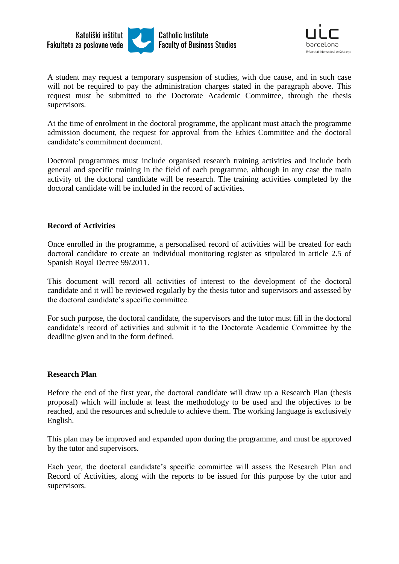



A student may request a temporary suspension of studies, with due cause, and in such case will not be required to pay the administration charges stated in the paragraph above. This request must be submitted to the Doctorate Academic Committee, through the thesis supervisors.

At the time of enrolment in the doctoral programme, the applicant must attach the programme admission document, the request for approval from the Ethics Committee and the doctoral candidate's commitment document.

Doctoral programmes must include organised research training activities and include both general and specific training in the field of each programme, although in any case the main activity of the doctoral candidate will be research. The training activities completed by the doctoral candidate will be included in the record of activities.

#### **Record of Activities**

Once enrolled in the programme, a personalised record of activities will be created for each doctoral candidate to create an individual monitoring register as stipulated in article 2.5 of Spanish Royal Decree 99/2011.

This document will record all activities of interest to the development of the doctoral candidate and it will be reviewed regularly by the thesis tutor and supervisors and assessed by the doctoral candidate's specific committee.

For such purpose, the doctoral candidate, the supervisors and the tutor must fill in the doctoral candidate's record of activities and submit it to the Doctorate Academic Committee by the deadline given and in the form defined.

#### **Research Plan**

Before the end of the first year, the doctoral candidate will draw up a Research Plan (thesis proposal) which will include at least the methodology to be used and the objectives to be reached, and the resources and schedule to achieve them. The working language is exclusively English.

This plan may be improved and expanded upon during the programme, and must be approved by the tutor and supervisors.

Each year, the doctoral candidate's specific committee will assess the Research Plan and Record of Activities, along with the reports to be issued for this purpose by the tutor and supervisors.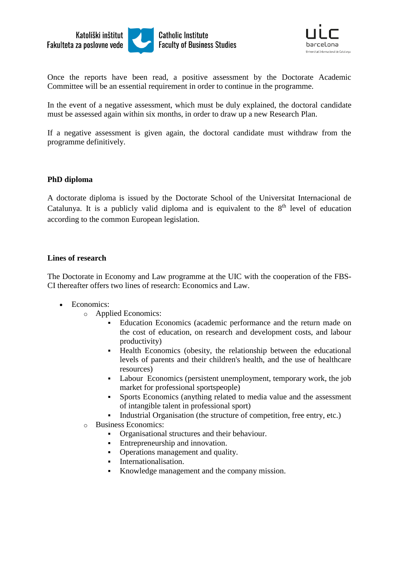



Once the reports have been read, a positive assessment by the Doctorate Academic Committee will be an essential requirement in order to continue in the programme.

In the event of a negative assessment, which must be duly explained, the doctoral candidate must be assessed again within six months, in order to draw up a new Research Plan.

If a negative assessment is given again, the doctoral candidate must withdraw from the programme definitively.

#### **PhD diploma**

A doctorate diploma is issued by the Doctorate School of the Universitat Internacional de Catalunya. It is a publicly valid diploma and is equivalent to the  $8<sup>th</sup>$  level of education according to the common European legislation.

## **Lines of research**

The Doctorate in Economy and Law programme at the UIC with the cooperation of the FBS-CI thereafter offers two lines of research: Economics and Law.

- Economics:
	- o [Applied Economics:](http://www.uic.es/en/doctorate-school/research-lines/applied-economics)
		- Education Economics (academic performance and the return made on the cost of education, on research and development costs, and labour productivity)
		- Health Economics (obesity, the relationship between the educational levels of parents and their children's health, and the use of healthcare resources)
		- Labour Economics (persistent unemployment, temporary work, the job market for professional sportspeople)
		- Sports Economics (anything related to media value and the assessment of intangible talent in professional sport)
		- Industrial Organisation (the structure of competition, free entry, etc.)
	- o [Business Economics:](http://www.uic.es/en/doctorate-school/research-lines/business-economics)
		- Organisational structures and their behaviour.
		- Entrepreneurship and innovation.
		- Operations management and quality.
		- **Internationalisation.**
		- Knowledge management and the company mission.